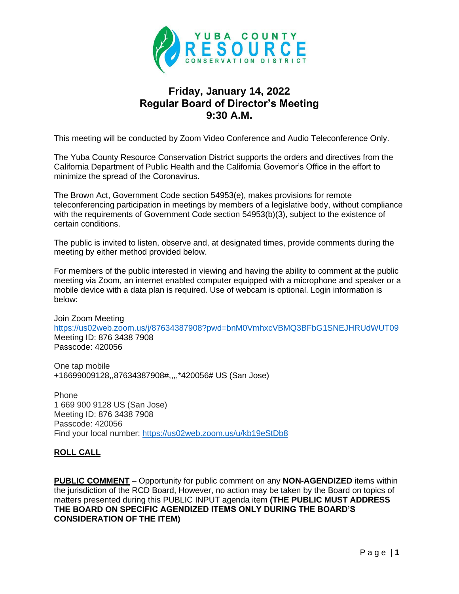

# **Friday, January 14, 2022 Regular Board of Director's Meeting 9:30 A.M.**

This meeting will be conducted by Zoom Video Conference and Audio Teleconference Only.

The Yuba County Resource Conservation District supports the orders and directives from the California Department of Public Health and the California Governor's Office in the effort to minimize the spread of the Coronavirus.

The Brown Act, Government Code section 54953(e), makes provisions for remote teleconferencing participation in meetings by members of a legislative body, without compliance with the requirements of Government Code section 54953(b)(3), subject to the existence of certain conditions.

The public is invited to listen, observe and, at designated times, provide comments during the meeting by either method provided below.

For members of the public interested in viewing and having the ability to comment at the public meeting via Zoom, an internet enabled computer equipped with a microphone and speaker or a mobile device with a data plan is required. Use of webcam is optional. Login information is below:

Join Zoom Meeting <https://us02web.zoom.us/j/87634387908?pwd=bnM0VmhxcVBMQ3BFbG1SNEJHRUdWUT09> Meeting ID: 876 3438 7908 Passcode: 420056

One tap mobile +16699009128,,87634387908#,,,,\*420056# US (San Jose)

Phone 1 669 900 9128 US (San Jose) Meeting ID: 876 3438 7908 Passcode: 420056 Find your local number: <https://us02web.zoom.us/u/kb19eStDb8>

# **ROLL CALL**

**PUBLIC COMMENT** – Opportunity for public comment on any **NON-AGENDIZED** items within the jurisdiction of the RCD Board, However, no action may be taken by the Board on topics of matters presented during this PUBLIC INPUT agenda item **(THE PUBLIC MUST ADDRESS THE BOARD ON SPECIFIC AGENDIZED ITEMS ONLY DURING THE BOARD'S CONSIDERATION OF THE ITEM)**